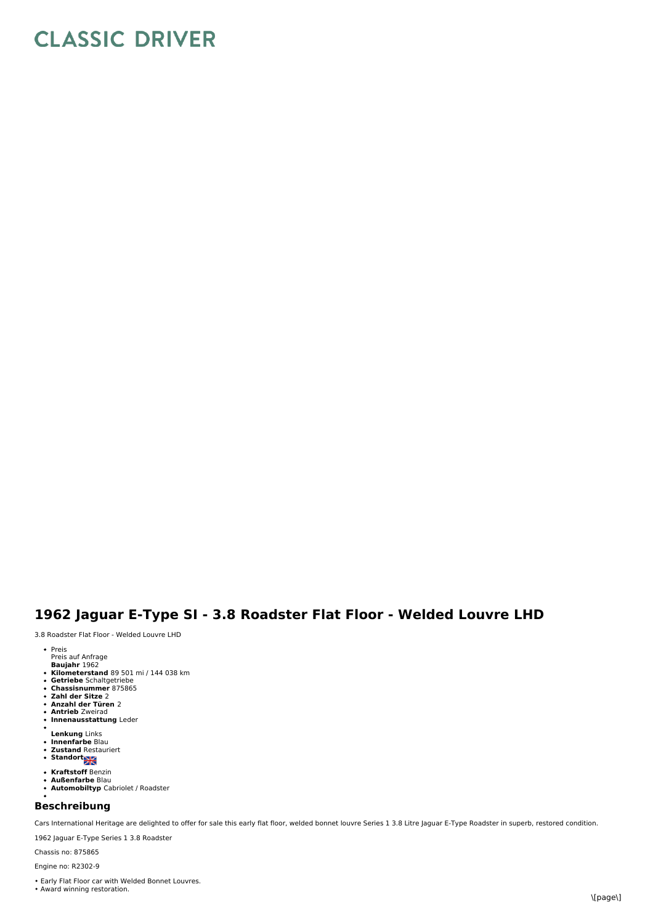## **CLASSIC DRIVER**

## **1962 Jaguar E-Type SI - 3.8 Roadster Flat Floor - Welded Louvre LHD**

3.8 Roadster Flat Floor - Welded Louvre LHD

- Preis
- Preis auf Anfrage
- **Baujahr** 1962
- **Kilometerstand** 89 501 mi / 144 038 km **Getriebe** Schaltgetriebe
- 
- **Chassisnummer** 875865 **Zahl der Sitze** 2
- 
- **Anzahl der Türen** 2 **Antrieb** Zweirad
- **Innenausstattung** Leder
- $\bullet$ **Lenkung** Links
- 
- **Innenfarbe** Blau<br>**Zustand** Restauriert
- **Standort SK**
- 
- **Kraftstoff** Benzin **Außenfarbe** Blau
- **Automobiltyp** Cabriolet / Roadster

## **Beschreibung**

Cars International Heritage are delighted to offer for sale this early flat floor, welded bonnet louvre Series 1 3.8 Litre Jaguar E-Type Roadster in superb, restored condition.

1962 Jaguar E-Type Series 1 3.8 Roadster

Chassis no: 875865 Engine no: R2302-9

- 
- Early Flat Floor car with Welded Bonnet Louvres. Award winning restoration.